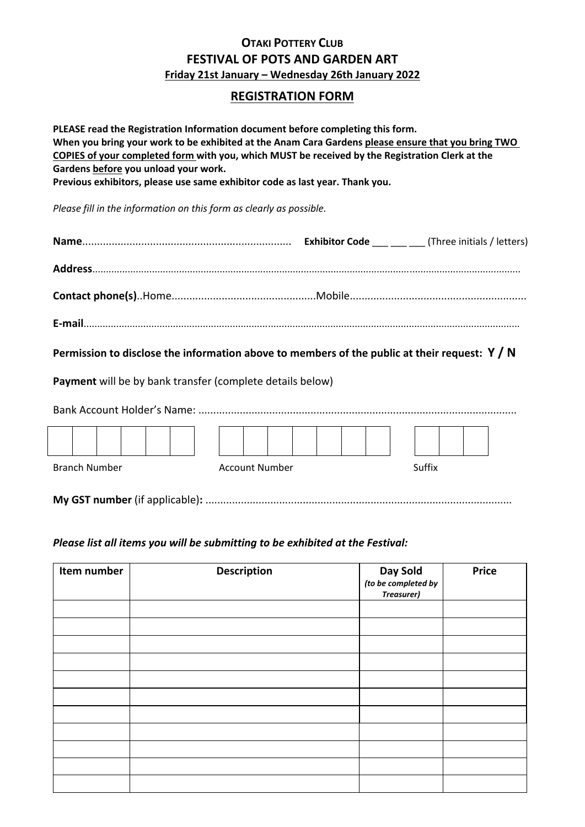## **OTAKI POTTERY CLUB FESTIVAL OF POTS AND GARDEN ART Friday 21st January – Wednesday 26th January 2022**

## **REGISTRATION FORM**

**PLEASE read the Registration Information document before completing this form. When you bring your work to be exhibited at the Anam Cara Gardens please ensure that you bring TWO COPIES of your completed form with you, which MUST be received by the Registration Clerk at the Gardens before you unload your work. Previous exhibitors, please use same exhibitor code as last year. Thank you.**

*Please fill in the information on this form as clearly as possible.*

| <b>Exhibitor Code</b> ____________(Three initials / letters) |  |
|--------------------------------------------------------------|--|
|                                                              |  |
|                                                              |  |
|                                                              |  |

**Permission to disclose the information above to members of the public at their request: Y / N**

**Payment** will be by bank transfer (complete details below)

| <b>Branch Number</b> |  |  |  |  |  |  | Account Number |  |  | Suffix |  |  |
|----------------------|--|--|--|--|--|--|----------------|--|--|--------|--|--|
|                      |  |  |  |  |  |  |                |  |  |        |  |  |

## *Please list all items you will be submitting to be exhibited at the Festival:*

| Item number | <b>Description</b> | Day Sold<br>(to be completed by<br><b>Treasurer)</b> | <b>Price</b> |
|-------------|--------------------|------------------------------------------------------|--------------|
|             |                    |                                                      |              |
|             |                    |                                                      |              |
|             |                    |                                                      |              |
|             |                    |                                                      |              |
|             |                    |                                                      |              |
|             |                    |                                                      |              |
|             |                    |                                                      |              |
|             |                    |                                                      |              |
|             |                    |                                                      |              |
|             |                    |                                                      |              |
|             |                    |                                                      |              |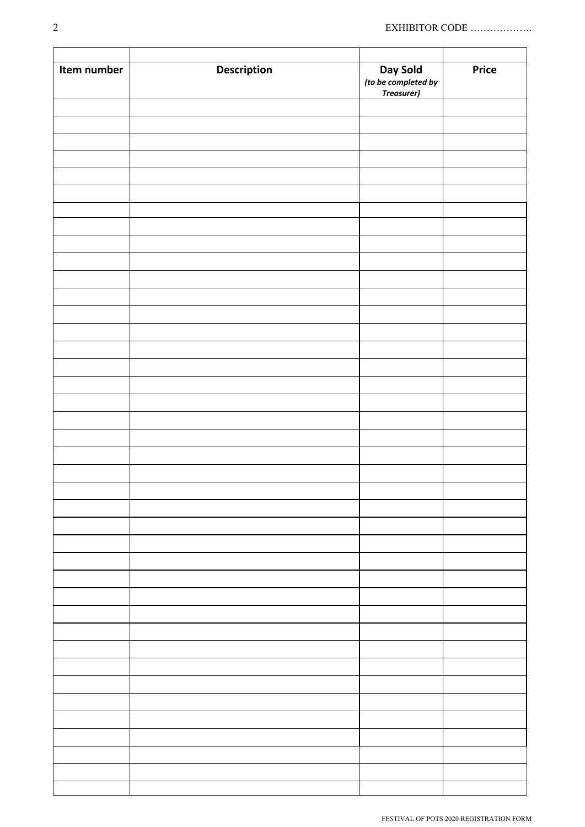| (to be completed by<br>Treasurer) |             |                    |          |              |
|-----------------------------------|-------------|--------------------|----------|--------------|
|                                   | Item number | <b>Description</b> | Day Sold | <b>Price</b> |
|                                   |             |                    |          |              |
|                                   |             |                    |          |              |
|                                   |             |                    |          |              |
|                                   |             |                    |          |              |
|                                   |             |                    |          |              |
|                                   |             |                    |          |              |
|                                   |             |                    |          |              |
|                                   |             |                    |          |              |
|                                   |             |                    |          |              |
|                                   |             |                    |          |              |
|                                   |             |                    |          |              |
|                                   |             |                    |          |              |
|                                   |             |                    |          |              |
|                                   |             |                    |          |              |
|                                   |             |                    |          |              |
|                                   |             |                    |          |              |
|                                   |             |                    |          |              |
|                                   |             |                    |          |              |
|                                   |             |                    |          |              |
|                                   |             |                    |          |              |
|                                   |             |                    |          |              |
|                                   |             |                    |          |              |
|                                   |             |                    |          |              |
|                                   |             |                    |          |              |
|                                   |             |                    |          |              |
|                                   |             |                    |          |              |
|                                   |             |                    |          |              |
|                                   |             |                    |          |              |
|                                   |             |                    |          |              |
|                                   |             |                    |          |              |
|                                   |             |                    |          |              |
|                                   |             |                    |          |              |
|                                   |             |                    |          |              |
|                                   |             |                    |          |              |
|                                   |             |                    |          |              |
|                                   |             |                    |          |              |
|                                   |             |                    |          |              |
|                                   |             |                    |          |              |
|                                   |             |                    |          |              |
|                                   |             |                    |          |              |